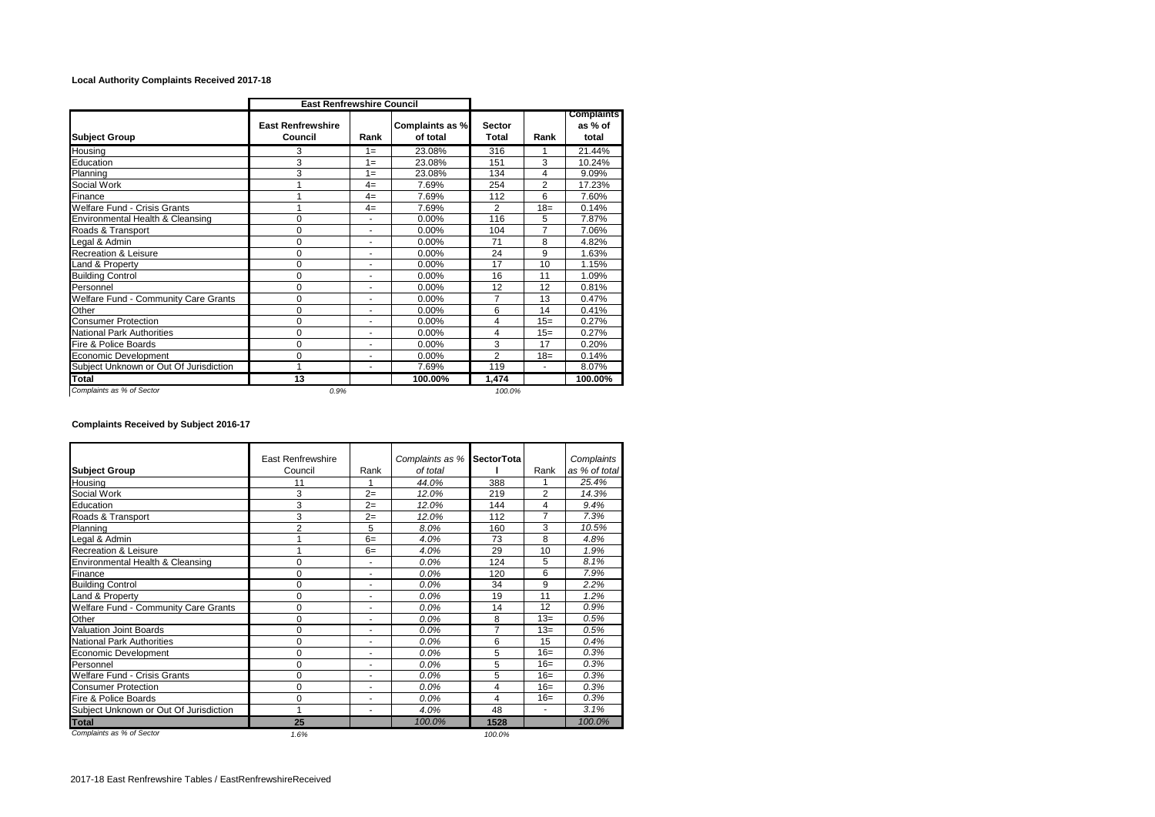## **Local Authority Complaints Received 2017-18**

|                                        | <b>East Renfrewshire Council</b>    |                          |                             |                               |                |                                       |
|----------------------------------------|-------------------------------------|--------------------------|-----------------------------|-------------------------------|----------------|---------------------------------------|
| <b>Subject Group</b>                   | <b>East Renfrewshire</b><br>Council | Rank                     | Complaints as %<br>of total | <b>Sector</b><br><b>Total</b> | Rank           | <b>Complaints</b><br>as % of<br>total |
| Housing                                | 3                                   | $1 =$                    | 23.08%                      | 316                           |                | 21.44%                                |
| Education                              | 3                                   | $1 =$                    | 23.08%                      | 151                           | 3              | 10.24%                                |
| Planning                               | 3                                   | $1 =$                    | 23.08%                      | 134                           | 4              | 9.09%                                 |
| Social Work                            |                                     | $4=$                     | 7.69%                       | 254                           | $\overline{2}$ | 17.23%                                |
| Finance                                |                                     | $4=$                     | 7.69%                       | 112                           | 6              | 7.60%                                 |
| Welfare Fund - Crisis Grants           |                                     | $4=$                     | 7.69%                       | $\overline{2}$                | $18 =$         | 0.14%                                 |
| Environmental Health & Cleansing       | 0                                   | ٠                        | $0.00\%$                    | 116                           | 5              | 7.87%                                 |
| Roads & Transport                      | 0                                   | ٠                        | 0.00%                       | 104                           | $\overline{7}$ | 7.06%                                 |
| Legal & Admin                          | $\mathbf 0$                         | $\overline{\phantom{a}}$ | 0.00%                       | 71                            | 8              | 4.82%                                 |
| Recreation & Leisure                   | 0                                   | ٠                        | 0.00%                       | 24                            | 9              | 1.63%                                 |
| Land & Property                        | 0                                   | ٠                        | 0.00%                       | 17                            | 10             | 1.15%                                 |
| <b>Building Control</b>                | 0                                   | ٠                        | 0.00%                       | 16                            | 11             | 1.09%                                 |
| Personnel                              | 0                                   | ٠                        | $0.00\%$                    | 12                            | 12             | 0.81%                                 |
| Welfare Fund - Community Care Grants   | 0                                   | ٠                        | $0.00\%$                    | 7                             | 13             | 0.47%                                 |
| Other                                  | $\Omega$                            | $\overline{\phantom{a}}$ | $0.00\%$                    | 6                             | 14             | 0.41%                                 |
| <b>Consumer Protection</b>             | $\Omega$                            | ۰                        | $0.00\%$                    | 4                             | $15=$          | 0.27%                                 |
| National Park Authorities              | 0                                   | ٠                        | 0.00%                       | 4                             | $15=$          | 0.27%                                 |
| Fire & Police Boards                   | $\Omega$                            | ٠                        | 0.00%                       | 3                             | 17             | 0.20%                                 |
| Economic Development                   | 0                                   | ٠                        | 0.00%                       | $\overline{2}$                | $18=$          | 0.14%                                 |
| Subject Unknown or Out Of Jurisdiction |                                     | ٠                        | 7.69%                       | 119                           | ٠              | 8.07%                                 |
| Total                                  | 13                                  |                          | 100.00%                     | 1,474                         |                | 100.00%                               |
| Complaints as % of Sector              | 0.9%                                |                          |                             | 100.0%                        |                |                                       |

## **Complaints Received by Subject 2016-17**

|                                             | <b>East Renfrewshire</b> |                          | Complaints as % | <b>SectorTota</b> |                          | Complaints    |  |
|---------------------------------------------|--------------------------|--------------------------|-----------------|-------------------|--------------------------|---------------|--|
| <b>Subject Group</b>                        | Council                  | Rank                     | of total        |                   | Rank                     | as % of total |  |
| Housina                                     | 11                       |                          | 44.0%           | 388               |                          | 25.4%         |  |
| Social Work                                 | 3                        | $2=$                     | 12.0%           | 219               | $\overline{2}$           | 14.3%         |  |
| Education                                   | 3                        | $2=$                     | 12.0%           | 144               | 4                        | 9.4%          |  |
| Roads & Transport                           | 3                        | $2=$                     | 12.0%           | 112               | 7                        | 7.3%          |  |
| Planning                                    | $\overline{2}$           | 5                        | 8.0%            | 160               | 3                        | 10.5%         |  |
| eqal & Admin                                |                          | $6=$                     | 4.0%            | 73                | 8                        | 4.8%          |  |
| Recreation & Leisure                        |                          | $6=$                     | 4.0%            | 29                | 10                       | 1.9%          |  |
| Environmental Health & Cleansing            | 0                        | ٠                        | $0.0\%$         | 124               | 5                        | 8.1%          |  |
| Finance                                     | 0                        | ٠                        | 0.0%            | 120               | 6                        | 7.9%          |  |
| <b>Building Control</b>                     | $\Omega$                 | ٠                        | 0.0%            | 34                | 9                        | 2.2%          |  |
| Land & Property                             | 0                        | ٠                        | 0.0%            | 19                | 11                       | 1.2%          |  |
| <b>Welfare Fund - Community Care Grants</b> | 0                        | ÷                        | 0.0%            | 14                | 12                       | 0.9%          |  |
| Other                                       | 0                        | ÷                        | 0.0%            | 8                 | $13 =$                   | 0.5%          |  |
| Valuation Joint Boards                      | 0                        | ٠                        | 0.0%            | $\overline{7}$    | $13=$                    | 0.5%          |  |
| <b>National Park Authorities</b>            | $\Omega$                 | $\overline{\phantom{a}}$ | 0.0%            | 6                 | 15                       | 0.4%          |  |
| Economic Development                        | 0                        | ٠                        | 0.0%            | 5                 | $16=$                    | 0.3%          |  |
| Personnel                                   | 0                        | ٠                        | 0.0%            | 5                 | $16=$                    | 0.3%          |  |
| Welfare Fund - Crisis Grants                | 0                        |                          | 0.0%            | 5                 | $16=$                    | 0.3%          |  |
| <b>Consumer Protection</b>                  | 0                        | ÷                        | 0.0%            | 4                 | $16=$                    | 0.3%          |  |
| Fire & Police Boards                        | 0                        | ٠                        | 0.0%            | 4                 | $16=$                    | 0.3%          |  |
| Subject Unknown or Out Of Jurisdiction      |                          | ٠                        | 4.0%            | 48                | $\overline{\phantom{a}}$ | 3.1%          |  |
| <b>Total</b>                                | 25                       |                          | 100.0%          | 1528              |                          | 100.0%        |  |
| Complaints as % of Sector                   | 1.6%                     |                          |                 | 100.0%            |                          |               |  |